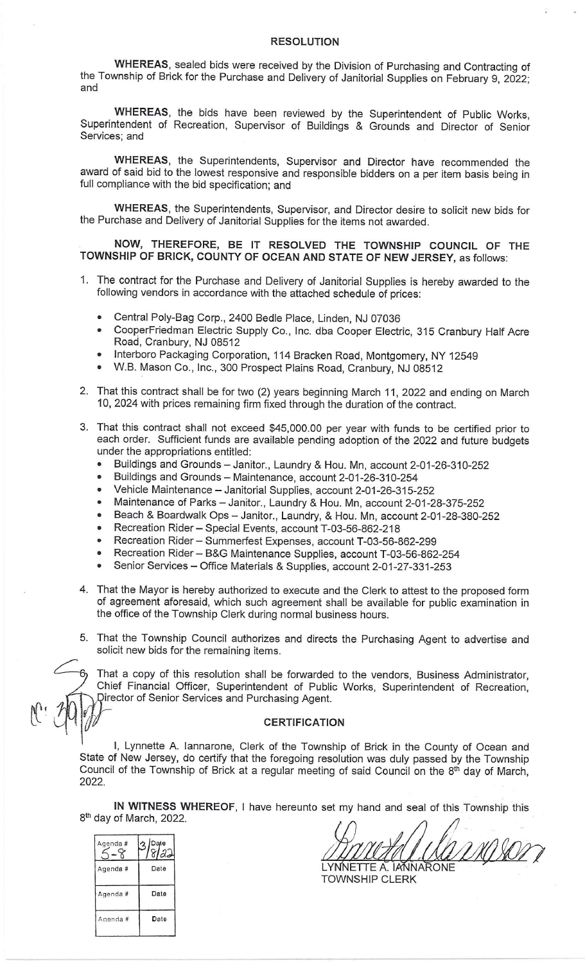## **RESOLUTION**

WHEREAS, sealed bids were received by the Division of Purchasing and Contracting of the Township of Brick for the Purchase and Delivery of Janitorial Supplies on February 9, 2022; and

WHEREAS, the bids have been reviewed by the Superintendent of Public Works, Superintendent of Recreation, Supervisor of Buildings & Grounds and Director of Senior Services; and

WHEREAS, the Superintendents, Supervisor and Director have recommended the award of said bid to the lowest responsive and responsible bidders on a per item basis being in full compliance with the bid specification; and

WHEREAS, the Superintendents, Supervisor, and Director desire to solicit new bids for the Purchase and Delivery of Janitorial Supplies for the items not awarded.

NOW, THEREFORE, BE IT RESOLVED THE TOWNSHIP COUNCIL OF THE TOWNSHIP OF BRICK, COUNTY OF OCEAN AND STATE OF NEW JERSEY, as follows:

- 1. The contract for the Purchase and Delivery of Janitorial Supplies is hereby awarded to the following vendors in accordance with the attached schedule of prices:
	- Central Poly-Bag Corp., 2400 Bedle Place, Linden, NJ 07036  $\bullet$
	- CooperFriedman Electric Supply Co., Inc. dba Cooper Electric, 315 Cranbury Half Acre  $\bullet$ Road, Cranbury, NJ 08512
	- Interboro Packaging Corporation, 114 Bracken Road, Montgomery, NY 12549
	- W.B. Mason Co., Inc., 300 Prospect Plains Road, Cranbury, NJ 08512
- 2. That this contract shall be for two (2) years beginning March 11, 2022 and ending on March 10, 2024 with prices remaining firm fixed through the duration of the contract.
- 3. That this contract shall not exceed \$45,000.00 per year with funds to be certified prior to each order. Sufficient funds are available pending adoption of the 2022 and future budgets under the appropriations entitled:
	- Buildings and Grounds Janitor., Laundry & Hou. Mn, account 2-01-26-310-252
	- Buildings and Grounds Maintenance, account 2-01-26-310-254
	- Vehicle Maintenance Janitorial Supplies, account 2-01-26-315-252
	- Maintenance of Parks Janitor., Laundry & Hou. Mn, account 2-01-28-375-252
	- Beach & Boardwalk Ops Janitor., Laundry, & Hou. Mn, account 2-01-28-380-252
	- Recreation Rider Special Events, account T-03-56-862-218
	- Recreation Rider Summerfest Expenses, account T-03-56-862-299
	- Recreation Rider B&G Maintenance Supplies, account T-03-56-862-254
	- Senior Services Office Materials & Supplies, account 2-01-27-331-253
- 4. That the Mayor is hereby authorized to execute and the Clerk to attest to the proposed form of agreement aforesaid, which such agreement shall be available for public examination in the office of the Township Clerk during normal business hours.

5. That the Township Council authorizes and directs the Purchasing Agent to advertise and solicit new bids for the remaining items.

That a copy of this resolution shall be forwarded to the vendors, Business Administrator, Chief Financial Officer, Superintendent of Public Works, Superintendent of Recreation, Director of Senior Services and Purchasing Agent.

## **CERTIFICATION**

I, Lynnette A. Iannarone, Clerk of the Township of Brick in the County of Ocean and State of New Jersey, do certify that the foregoing resolution was duly passed by the Township Council of the Township of Brick at a regular meeting of said Council on the 8th day of March, 2022.

IN WITNESS WHEREOF, I have hereunto set my hand and seal of this Township this 8<sup>th</sup> day of March, 2022.

| Agenda# | Date<br>ଖଣ |
|---------|------------|
| Agenda# | Date       |
| Agenda# | Date       |
| Anenda# | Date       |
|         |            |

ნ,

T NA DET LYNNETTE A. IANNARONE

**TOWNSHIP CLERK**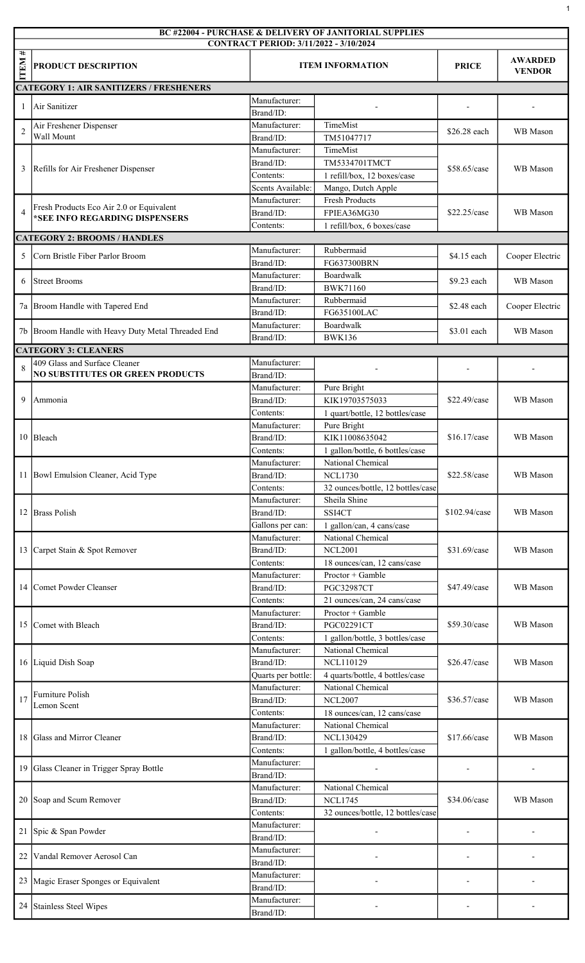|                  | BC #22004 - PURCHASE & DELIVERY OF JANITORIAL SUPPLIES<br><b>CONTRACT PERIOD: 3/11/2022 - 3/10/2024</b> |                            |                                                      |               |                                 |  |  |  |
|------------------|---------------------------------------------------------------------------------------------------------|----------------------------|------------------------------------------------------|---------------|---------------------------------|--|--|--|
| #<br><b>ITEM</b> | <b>PRODUCT DESCRIPTION</b>                                                                              | <b>ITEM INFORMATION</b>    |                                                      | <b>PRICE</b>  | <b>AWARDED</b><br><b>VENDOR</b> |  |  |  |
|                  | <b>CATEGORY 1: AIR SANITIZERS / FRESHENERS</b>                                                          |                            |                                                      |               |                                 |  |  |  |
| 1                | Air Sanitizer                                                                                           | Manufacturer:<br>Brand/ID: |                                                      |               |                                 |  |  |  |
| $\overline{2}$   | Air Freshener Dispenser<br>Wall Mount                                                                   | Manufacturer:<br>Brand/ID: | TimeMist<br>TM51047717                               | \$26.28 each  | WB Mason                        |  |  |  |
|                  |                                                                                                         | Manufacturer:              | TimeMist                                             |               |                                 |  |  |  |
|                  |                                                                                                         | Brand/ID:                  | TM5334701TMCT                                        |               |                                 |  |  |  |
| 3                | Refills for Air Freshener Dispenser                                                                     | Contents:                  | 1 refill/box, 12 boxes/case                          | \$58.65/case  | WB Mason                        |  |  |  |
|                  |                                                                                                         | Scents Available:          | Mango, Dutch Apple                                   |               |                                 |  |  |  |
|                  | Fresh Products Eco Air 2.0 or Equivalent<br>*SEE INFO REGARDING DISPENSERS                              | Manufacturer:              | <b>Fresh Products</b>                                | \$22.25/case  | WB Mason                        |  |  |  |
| $\overline{4}$   |                                                                                                         | Brand/ID:                  | FPIEA36MG30                                          |               |                                 |  |  |  |
|                  |                                                                                                         | Contents:                  | 1 refill/box, 6 boxes/case                           |               |                                 |  |  |  |
|                  | <b>CATEGORY 2: BROOMS / HANDLES</b>                                                                     |                            | Rubbermaid                                           |               |                                 |  |  |  |
| 5                | Corn Bristle Fiber Parlor Broom                                                                         | Manufacturer:<br>Brand/ID: | FG637300BRN                                          | \$4.15 each   | Cooper Electric                 |  |  |  |
|                  |                                                                                                         | Manufacturer:              | Boardwalk                                            |               |                                 |  |  |  |
| 6                | <b>Street Brooms</b>                                                                                    | Brand/ID:                  | <b>BWK71160</b>                                      | \$9.23 each   | WB Mason                        |  |  |  |
|                  |                                                                                                         | Manufacturer:              | Rubbermaid                                           |               |                                 |  |  |  |
| 7a               | Broom Handle with Tapered End                                                                           | Brand/ID:                  | FG635100LAC                                          | \$2.48 each   | Cooper Electric                 |  |  |  |
|                  |                                                                                                         | Manufacturer:              | Boardwalk                                            |               |                                 |  |  |  |
| 7b               | Broom Handle with Heavy Duty Metal Threaded End                                                         | Brand/ID:                  | <b>BWK136</b>                                        | \$3.01 each   | WB Mason                        |  |  |  |
|                  | <b>CATEGORY 3: CLEANERS</b>                                                                             |                            |                                                      |               |                                 |  |  |  |
| $\mathbf{8}$     | 409 Glass and Surface Cleaner                                                                           | Manufacturer:              |                                                      |               |                                 |  |  |  |
|                  | <b>NO SUBSTITUTES OR GREEN PRODUCTS</b>                                                                 | Brand/ID:                  |                                                      |               |                                 |  |  |  |
|                  |                                                                                                         | Manufacturer:              | Pure Bright                                          |               |                                 |  |  |  |
| 9                | Ammonia                                                                                                 | Brand/ID:                  | KIK19703575033                                       | \$22.49/case  | WB Mason                        |  |  |  |
|                  |                                                                                                         | Contents:                  | 1 quart/bottle, 12 bottles/case                      |               |                                 |  |  |  |
|                  | 10   Bleach                                                                                             | Manufacturer:              | Pure Bright                                          |               |                                 |  |  |  |
|                  |                                                                                                         | Brand/ID:                  | KIK11008635042                                       | \$16.17/case  | WB Mason                        |  |  |  |
|                  | 11  Bowl Emulsion Cleaner, Acid Type                                                                    | Contents:<br>Manufacturer: | 1 gallon/bottle, 6 bottles/case<br>National Chemical | \$22.58/case  | WB Mason                        |  |  |  |
|                  |                                                                                                         | Brand/ID:                  | <b>NCL1730</b>                                       |               |                                 |  |  |  |
|                  |                                                                                                         | Contents:                  | 32 ounces/bottle, 12 bottles/case                    |               |                                 |  |  |  |
|                  |                                                                                                         | Manufacturer:              | Sheila Shine                                         | \$102.94/case | WB Mason                        |  |  |  |
| 12               | <b>Brass Polish</b>                                                                                     | Brand/ID:                  | SSI4CT                                               |               |                                 |  |  |  |
|                  |                                                                                                         | Gallons per can:           | 1 gallon/can, 4 cans/case                            |               |                                 |  |  |  |
|                  |                                                                                                         | Manufacturer:              | National Chemical                                    | \$31.69/case  | WB Mason                        |  |  |  |
|                  | 13 Carpet Stain & Spot Remover                                                                          | Brand/ID:                  | <b>NCL2001</b>                                       |               |                                 |  |  |  |
|                  |                                                                                                         | Contents:                  | 18 ounces/can, 12 cans/case                          |               |                                 |  |  |  |
|                  |                                                                                                         | Manufacturer:              | $Proctor + Gamble$                                   | \$47.49/case  | WB Mason                        |  |  |  |
| 14               | Comet Powder Cleanser                                                                                   | Brand/ID:                  | <b>PGC32987CT</b>                                    |               |                                 |  |  |  |
|                  |                                                                                                         | Contents:                  | 21 ounces/can, 24 cans/case                          |               |                                 |  |  |  |
| 15               | Comet with Bleach                                                                                       | Manufacturer:<br>Brand/ID: | $Proctor + Gamble$<br>PGC02291CT                     | \$59.30/case  | WB Mason                        |  |  |  |
|                  |                                                                                                         | Contents:                  | 1 gallon/bottle, 3 bottles/case                      |               |                                 |  |  |  |
|                  |                                                                                                         | Manufacturer:              | National Chemical                                    |               |                                 |  |  |  |
|                  | 16 Liquid Dish Soap                                                                                     | Brand/ID:                  | <b>NCL110129</b>                                     | \$26.47/case  | WB Mason                        |  |  |  |
|                  |                                                                                                         | Quarts per bottle:         | 4 quarts/bottle, 4 bottles/case                      |               |                                 |  |  |  |
|                  |                                                                                                         | Manufacturer:              | National Chemical                                    |               |                                 |  |  |  |
| 17               | Furniture Polish<br>Lemon Scent                                                                         | Brand/ID:                  | <b>NCL2007</b>                                       | \$36.57/case  | WB Mason                        |  |  |  |
|                  |                                                                                                         | Contents:                  | 18 ounces/can, 12 cans/case                          |               |                                 |  |  |  |
|                  |                                                                                                         | Manufacturer:              | National Chemical                                    |               |                                 |  |  |  |
| 18               | Glass and Mirror Cleaner                                                                                | Brand/ID:                  | <b>NCL130429</b>                                     | \$17.66/case  | WB Mason                        |  |  |  |
|                  |                                                                                                         | Contents:                  | 1 gallon/bottle, 4 bottles/case                      |               |                                 |  |  |  |
| 19               | Glass Cleaner in Trigger Spray Bottle                                                                   | Manufacturer:              |                                                      |               |                                 |  |  |  |
|                  |                                                                                                         | Brand/ID:<br>Manufacturer: | National Chemical                                    |               |                                 |  |  |  |
|                  |                                                                                                         | Brand/ID:                  | <b>NCL1745</b>                                       | \$34.06/case  | WB Mason                        |  |  |  |
|                  | 20 Soap and Scum Remover                                                                                | Contents:                  | 32 ounces/bottle, 12 bottles/case                    |               |                                 |  |  |  |
|                  |                                                                                                         | Manufacturer:              |                                                      |               |                                 |  |  |  |
|                  | 21 Spic & Span Powder                                                                                   | Brand/ID:                  |                                                      |               |                                 |  |  |  |
|                  |                                                                                                         | Manufacturer:              |                                                      |               |                                 |  |  |  |
| 22               | Vandal Remover Aerosol Can                                                                              | Brand/ID:                  |                                                      |               |                                 |  |  |  |
|                  |                                                                                                         | Manufacturer:              |                                                      |               |                                 |  |  |  |
|                  | 23 Magic Eraser Sponges or Equivalent                                                                   | Brand/ID:                  |                                                      |               |                                 |  |  |  |
|                  | 24 Stainless Steel Wipes                                                                                | Manufacturer:              |                                                      |               |                                 |  |  |  |
|                  |                                                                                                         | Brand/ID:                  |                                                      |               |                                 |  |  |  |

1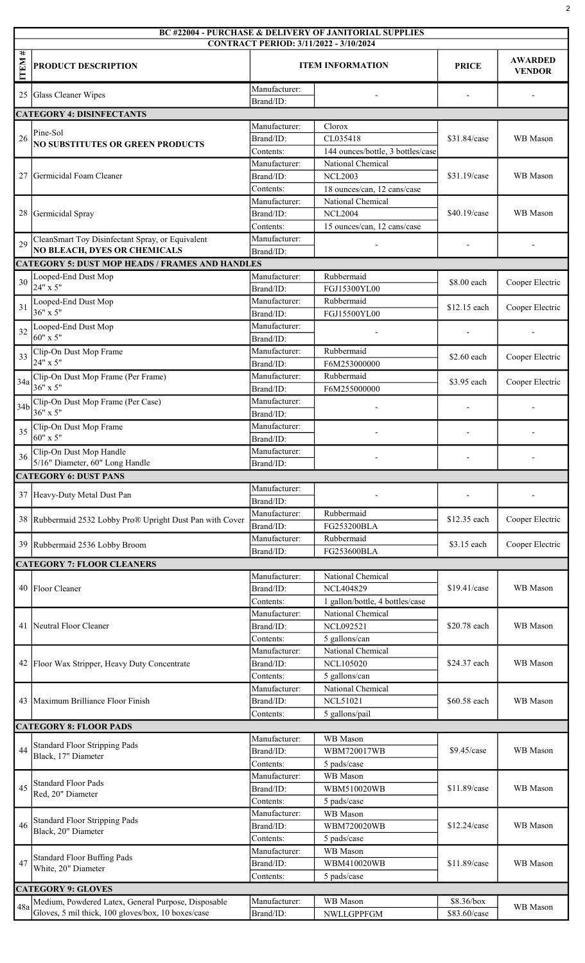|                  | <b>BC #22004 - PURCHASE &amp; DELIVERY OF JANITORIAL SUPPLIES</b><br>CONTRACT PERIOD: 3/11/2022 - 3/10/2024 |                            |                                               |                |                                 |  |  |
|------------------|-------------------------------------------------------------------------------------------------------------|----------------------------|-----------------------------------------------|----------------|---------------------------------|--|--|
| #<br><b>ITEM</b> | PRODUCT DESCRIPTION                                                                                         | <b>ITEM INFORMATION</b>    |                                               | <b>PRICE</b>   | <b>AWARDED</b><br><b>VENDOR</b> |  |  |
| 25               | Glass Cleaner Wipes                                                                                         | Manufacturer:<br>Brand/ID: |                                               |                |                                 |  |  |
|                  | <b>CATEGORY 4: DISINFECTANTS</b>                                                                            |                            |                                               |                |                                 |  |  |
|                  |                                                                                                             | Manufacturer:              | Clorox                                        |                |                                 |  |  |
| 26               | Pine-Sol<br><b>NO SUBSTITUTES OR GREEN PRODUCTS</b>                                                         | Brand/ID:                  | CL035418                                      | \$31.84/case   | WB Mason                        |  |  |
|                  |                                                                                                             | Contents:                  | 144 ounces/bottle, 3 bottles/case             |                |                                 |  |  |
|                  |                                                                                                             | Manufacturer:              | National Chemical                             |                |                                 |  |  |
|                  | 27 Germicidal Foam Cleaner                                                                                  | Brand/ID:<br>Contents:     | <b>NCL2003</b><br>18 ounces/can, 12 cans/case | \$31.19/case   | WB Mason                        |  |  |
|                  |                                                                                                             | Manufacturer:              | National Chemical                             |                |                                 |  |  |
|                  | 28 Germicidal Spray                                                                                         | Brand/ID:                  | <b>NCL2004</b>                                | $$40.19$ /case | WB Mason                        |  |  |
|                  |                                                                                                             | Contents:                  | 15 ounces/can, 12 cans/case                   |                |                                 |  |  |
| 29               | CleanSmart Toy Disinfectant Spray, or Equivalent                                                            | Manufacturer:              |                                               |                |                                 |  |  |
|                  | <b>NO BLEACH, DYES OR CHEMICALS</b>                                                                         | Brand/ID:                  |                                               |                |                                 |  |  |
|                  | <b>CATEGORY 5: DUST MOP HEADS / FRAMES AND HANDLES</b>                                                      | Manufacturer:              | Rubbermaid                                    |                |                                 |  |  |
| 30               | Looped-End Dust Mop<br>24" x 5"                                                                             | Brand/ID:                  | FGJ15300YL00                                  | \$8.00 each    | Cooper Electric                 |  |  |
|                  | Looped-End Dust Mop                                                                                         | Manufacturer:              | Rubbermaid                                    |                |                                 |  |  |
| 31               | $36" \times 5"$                                                                                             | Brand/ID:                  | FGJ15500YL00                                  | \$12.15 each   | Cooper Electric                 |  |  |
| 32               | Looped-End Dust Mop                                                                                         | Manufacturer:              |                                               |                |                                 |  |  |
|                  | $60"$ x 5"                                                                                                  | Brand/ID:                  |                                               |                |                                 |  |  |
| 33               | Clip-On Dust Mop Frame                                                                                      | Manufacturer:              | Rubbermaid                                    | \$2.60 each    | Cooper Electric                 |  |  |
|                  | 24" x 5"                                                                                                    | Brand/ID:                  | F6M253000000                                  |                |                                 |  |  |
| 34a              | Clip-On Dust Mop Frame (Per Frame)<br>$36" \times 5"$                                                       | Manufacturer:<br>Brand/ID: | Rubbermaid<br>F6M255000000                    | \$3.95 each    | Cooper Electric                 |  |  |
|                  | Clip-On Dust Mop Frame (Per Case)                                                                           | Manufacturer:              |                                               |                |                                 |  |  |
| 34b              | $36" \times 5"$                                                                                             | Brand/ID:                  |                                               |                |                                 |  |  |
| 35               | Clip-On Dust Mop Frame                                                                                      | Manufacturer:              |                                               |                |                                 |  |  |
|                  | 60" x 5"                                                                                                    | Brand/ID:                  |                                               |                |                                 |  |  |
| 36               | Clip-On Dust Mop Handle                                                                                     | Manufacturer:              |                                               |                |                                 |  |  |
|                  | 5/16" Diameter, 60" Long Handle<br>Brand/ID:<br><b>CATEGORY 6: DUST PANS</b>                                |                            |                                               |                |                                 |  |  |
|                  |                                                                                                             | Manufacturer:              |                                               |                |                                 |  |  |
|                  | 37 Heavy-Duty Metal Dust Pan                                                                                | Brand/ID:                  |                                               |                |                                 |  |  |
|                  |                                                                                                             | Manufacturer:              | Rubbermaid                                    |                |                                 |  |  |
|                  | 38 Rubbermaid 2532 Lobby Pro® Upright Dust Pan with Cover                                                   | Brand/ID:                  | FG253200BLA                                   | \$12.35 each   | Cooper Electric                 |  |  |
|                  | 39 Rubbermaid 2536 Lobby Broom                                                                              | Manufacturer:              | Rubbermaid                                    | \$3.15 each    | Cooper Electric                 |  |  |
|                  |                                                                                                             | Brand/ID:                  | FG253600BLA                                   |                |                                 |  |  |
|                  | <b>CATEGORY 7: FLOOR CLEANERS</b>                                                                           | Manufacturer:              | National Chemical                             |                |                                 |  |  |
|                  | 40 Floor Cleaner                                                                                            | Brand/ID:                  | <b>NCL404829</b>                              | \$19.41/case   | WB Mason                        |  |  |
|                  |                                                                                                             | Contents:                  | 1 gallon/bottle, 4 bottles/case               |                |                                 |  |  |
|                  |                                                                                                             | Manufacturer:              | National Chemical                             | \$20.78 each   | WB Mason                        |  |  |
|                  | 41 Neutral Floor Cleaner                                                                                    | Brand/ID:                  | <b>NCL092521</b>                              |                |                                 |  |  |
|                  |                                                                                                             | Contents:                  | 5 gallons/can                                 |                |                                 |  |  |
|                  | 42 Floor Wax Stripper, Heavy Duty Concentrate                                                               | Manufacturer:              | National Chemical                             |                |                                 |  |  |
|                  |                                                                                                             | Brand/ID:<br>Contents:     | <b>NCL105020</b><br>5 gallons/can             | \$24.37 each   | WB Mason                        |  |  |
|                  |                                                                                                             | Manufacturer:              | National Chemical                             |                |                                 |  |  |
|                  | 43   Maximum Brilliance Floor Finish                                                                        | Brand/ID:                  | <b>NCL51021</b>                               | \$60.58 each   | WB Mason                        |  |  |
|                  |                                                                                                             | Contents:                  | 5 gallons/pail                                |                |                                 |  |  |
|                  | <b>CATEGORY 8: FLOOR PADS</b>                                                                               |                            |                                               |                |                                 |  |  |
|                  | <b>Standard Floor Stripping Pads</b>                                                                        | Manufacturer:              | WB Mason                                      |                |                                 |  |  |
| 44               | Black, 17" Diameter                                                                                         | Brand/ID:                  | WBM720017WB                                   | \$9.45/case    | WB Mason                        |  |  |
|                  |                                                                                                             | Contents:<br>Manufacturer: | 5 pads/case<br>WB Mason                       |                |                                 |  |  |
| 45               | <b>Standard Floor Pads</b>                                                                                  | Brand/ID:                  | WBM510020WB                                   | \$11.89/case   | WB Mason                        |  |  |
|                  | Red, 20" Diameter                                                                                           | Contents:                  | 5 pads/case                                   |                |                                 |  |  |
|                  | <b>Standard Floor Stripping Pads</b><br>Black, 20" Diameter                                                 | Manufacturer:              | WB Mason                                      |                |                                 |  |  |
| 46               |                                                                                                             | Brand/ID:                  | <b>WBM720020WB</b>                            | \$12.24/case   | WB Mason                        |  |  |
|                  |                                                                                                             | Contents:                  | 5 pads/case                                   |                |                                 |  |  |
| 47               | <b>Standard Floor Buffing Pads</b>                                                                          | Manufacturer:              | WB Mason<br>WBM410020WB                       |                |                                 |  |  |
|                  | White, 20" Diameter                                                                                         | Brand/ID:<br>Contents:     | 5 pads/case                                   | \$11.89/case   | WB Mason                        |  |  |
|                  |                                                                                                             |                            |                                               |                |                                 |  |  |
|                  |                                                                                                             |                            |                                               |                |                                 |  |  |
| 48a              | <b>CATEGORY 9: GLOVES</b><br>Medium, Powdered Latex, General Purpose, Disposable                            | Manufacturer:              | WB Mason                                      | \$8.36/box     | WB Mason                        |  |  |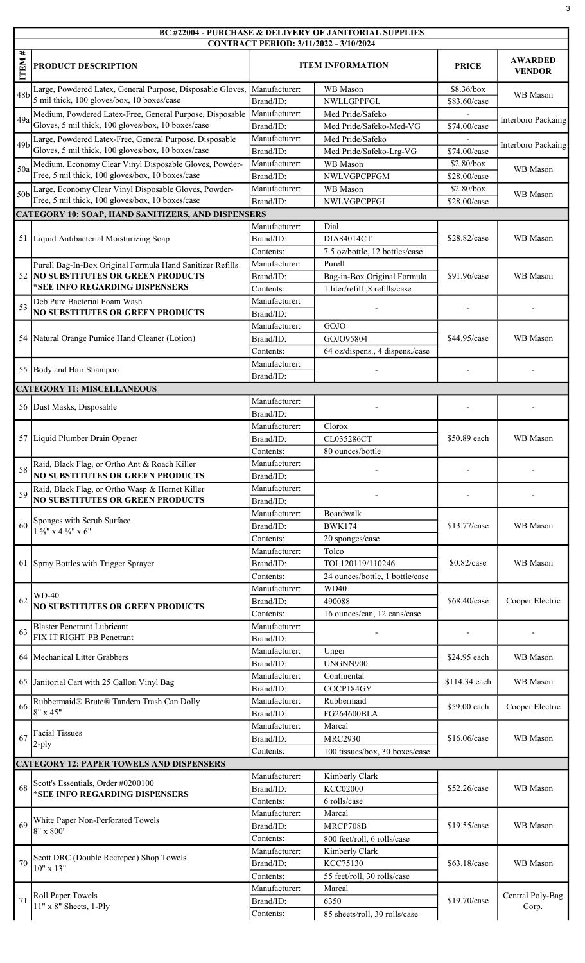## BC #22004 - PURCHASE & DELIVERY OF JANITORIAL SUPPLIES

|                   | <b>CONTRACT PERIOD: 3/11/2022 - 3/10/2024</b>                                                                |                            |                                       |                            |                                 |  |  |
|-------------------|--------------------------------------------------------------------------------------------------------------|----------------------------|---------------------------------------|----------------------------|---------------------------------|--|--|
| #<br><b>ITEM:</b> | PRODUCT DESCRIPTION                                                                                          |                            | <b>ITEM INFORMATION</b>               | <b>PRICE</b>               | <b>AWARDED</b><br><b>VENDOR</b> |  |  |
| 48b               | Large, Powdered Latex, General Purpose, Disposable Gloves,<br>5 mil thick, 100 gloves/box, 10 boxes/case     | Manufacturer:<br>Brand/ID: | WB Mason<br>NWLLGPPFGL                | \$8.36/box<br>\$83.60/case | WB Mason                        |  |  |
| 49a               | Medium, Powdered Latex-Free, General Purpose, Disposable                                                     | Manufacturer:              | Med Pride/Safeko                      |                            | Interboro Packaing              |  |  |
|                   | Gloves, 5 mil thick, 100 gloves/box, 10 boxes/case                                                           | Brand/ID:                  | Med Pride/Safeko-Med-VG               | \$74.00/case               |                                 |  |  |
| 49 <sub>b</sub>   | Large, Powdered Latex-Free, General Purpose, Disposable                                                      | Manufacturer:              | Med Pride/Safeko                      |                            | Interboro Packaing              |  |  |
|                   | Gloves, 5 mil thick, 100 gloves/box, 10 boxes/case<br>Medium, Economy Clear Vinyl Disposable Gloves, Powder- | Brand/ID:<br>Manufacturer: | Med Pride/Safeko-Lrg-VG<br>WB Mason   | \$74.00/case<br>\$2.80/box |                                 |  |  |
| 50a               | Free, 5 mil thick, 100 gloves/box, 10 boxes/case                                                             | Brand/ID:                  | NWLVGPCPFGM                           | \$28.00/case               | WB Mason                        |  |  |
| 50b               | Large, Economy Clear Vinyl Disposable Gloves, Powder-                                                        | Manufacturer:              | WB Mason                              | \$2.80/box                 |                                 |  |  |
|                   | Free, 5 mil thick, 100 gloves/box, 10 boxes/case                                                             | Brand/ID:                  | NWLVGPCPFGL                           | \$28.00/case               | WB Mason                        |  |  |
|                   | <b>CATEGORY 10: SOAP, HAND SANITIZERS, AND DISPENSERS</b>                                                    |                            |                                       |                            |                                 |  |  |
|                   | 51 Liquid Antibacterial Moisturizing Soap                                                                    | Manufacturer:<br>Brand/ID: | Dial<br>DIA84014CT                    | \$28.82/case               | WB Mason                        |  |  |
|                   |                                                                                                              | Contents:                  | 7.5 oz/bottle, 12 bottles/case        |                            |                                 |  |  |
|                   | Purell Bag-In-Box Original Formula Hand Sanitizer Refills                                                    | Manufacturer:              | Purell                                |                            |                                 |  |  |
| 52                | <b>NO SUBSTITUTES OR GREEN PRODUCTS</b>                                                                      | Brand/ID:                  | Bag-in-Box Original Formula           | \$91.96/case               | WB Mason                        |  |  |
|                   | *SEE INFO REGARDING DISPENSERS                                                                               | Contents:                  | 1 liter/refill, 8 refills/case        |                            |                                 |  |  |
| 53                | Deb Pure Bacterial Foam Wash                                                                                 | Manufacturer:              |                                       |                            |                                 |  |  |
|                   | <b>NO SUBSTITUTES OR GREEN PRODUCTS</b>                                                                      | Brand/ID:<br>Manufacturer: | GOJO                                  |                            |                                 |  |  |
|                   | 54 Natural Orange Pumice Hand Cleaner (Lotion)                                                               | Brand/ID:                  | GOJO95804                             | \$44.95/case               | WB Mason                        |  |  |
|                   |                                                                                                              | Contents:                  | 64 oz/dispens., 4 dispens./case       |                            |                                 |  |  |
|                   |                                                                                                              | Manufacturer:              |                                       |                            |                                 |  |  |
|                   | 55 Body and Hair Shampoo                                                                                     | Brand/ID:                  |                                       |                            |                                 |  |  |
|                   | <b>CATEGORY 11: MISCELLANEOUS</b>                                                                            |                            |                                       |                            |                                 |  |  |
|                   | 56 Dust Masks, Disposable                                                                                    | Manufacturer:              |                                       |                            |                                 |  |  |
|                   |                                                                                                              | Brand/ID:<br>Manufacturer: | Clorox                                |                            |                                 |  |  |
|                   | 57 Liquid Plumber Drain Opener                                                                               | Brand/ID:                  | CL035286CT                            | \$50.89 each               | WB Mason                        |  |  |
|                   |                                                                                                              | Contents:                  | 80 ounces/bottle                      |                            |                                 |  |  |
| 58                | Raid, Black Flag, or Ortho Ant & Roach Killer                                                                | Manufacturer:              |                                       |                            |                                 |  |  |
|                   | <b>NO SUBSTITUTES OR GREEN PRODUCTS</b>                                                                      | Brand/ID:                  |                                       |                            |                                 |  |  |
| 59                | Raid, Black Flag, or Ortho Wasp & Hornet Killer                                                              | Manufacturer:              |                                       |                            |                                 |  |  |
|                   | <b>NO SUBSTITUTES OR GREEN PRODUCTS</b>                                                                      | Brand/ID:<br>Manufacturer: | Boardwalk                             | \$13.77/case               | WB Mason                        |  |  |
| 60                | Sponges with Scrub Surface                                                                                   | Brand/ID:                  | <b>BWK174</b>                         |                            |                                 |  |  |
|                   | $1\frac{5}{8}$ " x 4 $\frac{1}{4}$ " x 6"                                                                    | Contents:                  | 20 sponges/case                       |                            |                                 |  |  |
|                   |                                                                                                              | Manufacturer:              | Tolco                                 | \$0.82/case                | WB Mason                        |  |  |
|                   | 61 Spray Bottles with Trigger Sprayer                                                                        | Brand/ID:                  | TOL120119/110246                      |                            |                                 |  |  |
|                   |                                                                                                              | Contents:                  | 24 ounces/bottle, 1 bottle/case       |                            |                                 |  |  |
|                   | $WD-40$                                                                                                      | Manufacturer:              | <b>WD40</b>                           |                            | Cooper Electric                 |  |  |
| 62                | <b>NO SUBSTITUTES OR GREEN PRODUCTS</b>                                                                      | Brand/ID:<br>Contents:     | 490088<br>16 ounces/can, 12 cans/case | \$68.40/case               |                                 |  |  |
|                   | <b>Blaster Penetrant Lubricant</b>                                                                           | Manufacturer:              |                                       |                            |                                 |  |  |
| 63                | FIX IT RIGHT PB Penetrant                                                                                    | Brand/ID:                  |                                       |                            |                                 |  |  |
|                   | 64   Mechanical Litter Grabbers                                                                              | Manufacturer:              | Unger                                 | \$24.95 each               | WB Mason                        |  |  |
|                   |                                                                                                              | Brand/ID:                  | UNGNN900                              |                            |                                 |  |  |
|                   | 65 Janitorial Cart with 25 Gallon Vinyl Bag                                                                  | Manufacturer:              | Continental                           | \$114.34 each              | WB Mason                        |  |  |
|                   |                                                                                                              | Brand/ID:<br>Manufacturer: | COCP184GY<br>Rubbermaid               |                            |                                 |  |  |
| 66                | Rubbermaid® Brute® Tandem Trash Can Dolly<br>8" x 45"                                                        | Brand/ID:                  | FG264600BLA                           | \$59.00 each               | Cooper Electric                 |  |  |
|                   |                                                                                                              | Manufacturer:              | Marcal                                |                            |                                 |  |  |
| 67                | <b>Facial Tissues</b>                                                                                        | Brand/ID:                  | <b>MRC2930</b>                        | \$16.06/case               | WB Mason                        |  |  |
|                   | $2$ -ply                                                                                                     | Contents:                  | 100 tissues/box, 30 boxes/case        |                            |                                 |  |  |
|                   | <b>CATEGORY 12: PAPER TOWELS AND DISPENSERS</b>                                                              |                            |                                       |                            |                                 |  |  |
| 68                | Scott's Essentials, Order #0200100<br>*SEE INFO REGARDING DISPENSERS                                         | Manufacturer:              | Kimberly Clark                        |                            |                                 |  |  |
|                   |                                                                                                              | Brand/ID:<br>Contents:     | <b>KCC02000</b><br>6 rolls/case       | \$52.26/case               | WB Mason                        |  |  |
|                   |                                                                                                              | Manufacturer:              | Marcal                                |                            |                                 |  |  |
| 69                | White Paper Non-Perforated Towels<br>8" x 800'                                                               | Brand/ID:                  | MRCP708B                              | \$19.55/case               | WB Mason                        |  |  |
|                   |                                                                                                              | Contents:                  | 800 feet/roll, 6 rolls/case           |                            |                                 |  |  |
|                   | Scott DRC (Double Recreped) Shop Towels                                                                      | Manufacturer:              | Kimberly Clark                        |                            |                                 |  |  |
| 70                | 10" x 13"                                                                                                    | Brand/ID:                  | KCC75130                              | \$63.18/case               | WB Mason                        |  |  |
|                   |                                                                                                              | Contents:                  | 55 feet/roll, 30 rolls/case           |                            |                                 |  |  |
| 71                | Roll Paper Towels                                                                                            | Manufacturer:<br>Brand/ID: | Marcal<br>6350                        | \$19.70/case               | Central Poly-Bag                |  |  |
|                   | 11" x 8" Sheets, 1-Ply                                                                                       | Contents:                  | 85 sheets/roll, 30 rolls/case         |                            | Corp.                           |  |  |
|                   |                                                                                                              |                            |                                       |                            |                                 |  |  |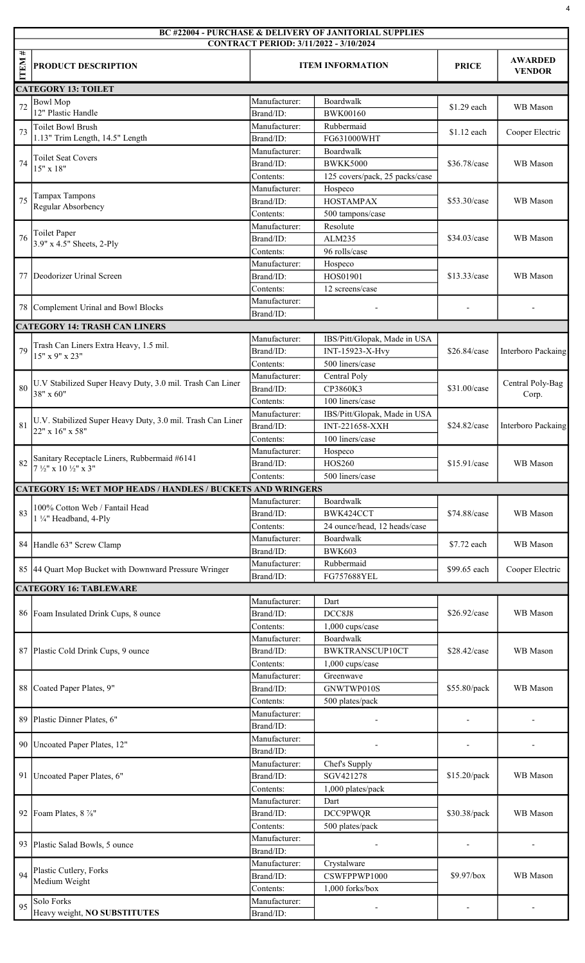|                  | <b>BC #22004 - PURCHASE &amp; DELIVERY OF JANITORIAL SUPPLIES</b><br>CONTRACT PERIOD: 3/11/2022 - 3/10/2024 |                         |                                |              |                                 |  |  |
|------------------|-------------------------------------------------------------------------------------------------------------|-------------------------|--------------------------------|--------------|---------------------------------|--|--|
| #<br><b>ITEM</b> | PRODUCT DESCRIPTION                                                                                         | <b>ITEM INFORMATION</b> |                                | <b>PRICE</b> | <b>AWARDED</b><br><b>VENDOR</b> |  |  |
|                  | <b>CATEGORY 13: TOILET</b>                                                                                  |                         |                                |              |                                 |  |  |
| 72               | <b>Bowl Mop</b>                                                                                             | Manufacturer:           | Boardwalk                      | \$1.29 each  | WB Mason                        |  |  |
|                  | 12" Plastic Handle                                                                                          | Brand/ID:               | <b>BWK00160</b>                |              |                                 |  |  |
| 73               | <b>Toilet Bowl Brush</b>                                                                                    | Manufacturer:           | Rubbermaid                     | \$1.12 each  | Cooper Electric                 |  |  |
|                  | 1.13" Trim Length, 14.5" Length                                                                             | Brand/ID:               | FG631000WHT                    |              |                                 |  |  |
|                  | <b>Toilet Seat Covers</b><br>$15" \times 18"$                                                               | Manufacturer:           | Boardwalk                      |              |                                 |  |  |
| 74               |                                                                                                             | Brand/ID:               | <b>BWKK5000</b>                | \$36.78/case | WB Mason                        |  |  |
|                  |                                                                                                             | Contents:               | 125 covers/pack, 25 packs/case |              |                                 |  |  |
|                  | <b>Tampax Tampons</b><br>Regular Absorbency                                                                 | Manufacturer:           | Hospeco                        | \$53.30/case |                                 |  |  |
| 75               |                                                                                                             | Brand/ID:               | <b>HOSTAMPAX</b>               |              | WB Mason                        |  |  |
|                  |                                                                                                             | Contents:               | 500 tampons/case               |              |                                 |  |  |
|                  | <b>Toilet Paper</b>                                                                                         | Manufacturer:           | Resolute                       | \$34.03/case |                                 |  |  |
| 76               | 3.9" x 4.5" Sheets, 2-Ply                                                                                   | Brand/ID:               | ALM235                         |              | WB Mason                        |  |  |
|                  |                                                                                                             | Contents:               | 96 rolls/case                  |              |                                 |  |  |
|                  |                                                                                                             | Manufacturer:           | Hospeco                        |              |                                 |  |  |
| 77               | Deodorizer Urinal Screen                                                                                    | Brand/ID:               | HOS01901                       | \$13.33/case | WB Mason                        |  |  |
|                  |                                                                                                             | Contents:               | 12 screens/case                |              |                                 |  |  |
|                  | 78 Complement Urinal and Bowl Blocks                                                                        | Manufacturer:           |                                |              |                                 |  |  |
|                  |                                                                                                             | Brand/ID:               |                                |              |                                 |  |  |
|                  | <b>CATEGORY 14: TRASH CAN LINERS</b>                                                                        |                         |                                |              |                                 |  |  |
|                  | Trash Can Liners Extra Heavy, 1.5 mil.                                                                      | Manufacturer:           | IBS/Pitt/Glopak, Made in USA   |              | <b>Interboro Packaing</b>       |  |  |
| 79               | 15" x 9" x 23"                                                                                              | Brand/ID:               | INT-15923-X-Hvy                | \$26.84/case |                                 |  |  |
|                  |                                                                                                             | Contents:               | 500 liners/case                |              |                                 |  |  |
|                  | U.V Stabilized Super Heavy Duty, 3.0 mil. Trash Can Liner                                                   | Manufacturer:           | Central Poly                   |              | Central Poly-Bag                |  |  |
| 80               | 38" x 60"                                                                                                   | Brand/ID:               | CP3860K3                       | \$31.00/case | Corp.                           |  |  |
|                  |                                                                                                             | Contents:               | 100 liners/case                |              |                                 |  |  |
|                  | U.V. Stabilized Super Heavy Duty, 3.0 mil. Trash Can Liner                                                  | Manufacturer:           | IBS/Pitt/Glopak, Made in USA   |              |                                 |  |  |
| 81               | 22" x 16" x 58"                                                                                             | Brand/ID:               | <b>INT-221658-XXH</b>          | \$24.82/case | Interboro Packaing              |  |  |
|                  |                                                                                                             | Contents:               | 100 liners/case                |              |                                 |  |  |
|                  | Sanitary Receptacle Liners, Rubbermaid #6141<br>7 1/2" x 10 1/2" x 3"                                       | Manufacturer:           | Hospeco                        | \$15.91/case | WB Mason                        |  |  |
|                  |                                                                                                             | Brand/ID:               | HOS260                         |              |                                 |  |  |
|                  |                                                                                                             | Contents:               | 500 liners/case                |              |                                 |  |  |
|                  | <b>CATEGORY 15: WET MOP HEADS / HANDLES / BUCKETS AND WRINGERS</b>                                          |                         |                                |              |                                 |  |  |
|                  |                                                                                                             | Manufacturer:           | Boardwalk                      | \$74.88/case | WB Mason                        |  |  |
| 83               | 100% Cotton Web / Fantail Head                                                                              | Brand/ID:               | BWK424CCT                      |              |                                 |  |  |
|                  | 1 1/4" Headband, 4-Ply                                                                                      | Contents:               | 24 ounce/head, 12 heads/case   |              |                                 |  |  |
|                  |                                                                                                             | Manufacturer:           | Boardwalk                      |              |                                 |  |  |
|                  | 84 Handle 63" Screw Clamp                                                                                   | Brand/ID:               | <b>BWK603</b>                  | \$7.72 each  | WB Mason                        |  |  |
|                  |                                                                                                             | Manufacturer:           | Rubbermaid                     |              | Cooper Electric                 |  |  |
|                  | 85 44 Quart Mop Bucket with Downward Pressure Wringer                                                       | Brand/ID:               | FG757688YEL                    | \$99.65 each |                                 |  |  |
|                  | <b>CATEGORY 16: TABLEWARE</b>                                                                               |                         |                                |              |                                 |  |  |
|                  |                                                                                                             | Dart                    |                                |              |                                 |  |  |
|                  | 86 Foam Insulated Drink Cups, 8 ounce                                                                       | Brand/ID:               | DCC8J8                         | \$26.92/case | WB Mason                        |  |  |
|                  |                                                                                                             | Contents:               | 1,000 cups/case                |              |                                 |  |  |
|                  |                                                                                                             | Manufacturer:           | Boardwalk                      |              |                                 |  |  |
|                  | 87 Plastic Cold Drink Cups, 9 ounce                                                                         | Brand/ID:               | <b>BWKTRANSCUP10CT</b>         | \$28.42/case | WB Mason                        |  |  |
|                  |                                                                                                             | Contents:               | 1,000 cups/case                |              |                                 |  |  |
|                  |                                                                                                             | Manufacturer:           | Greenwave                      |              |                                 |  |  |
|                  | 88 Coated Paper Plates, 9"                                                                                  | Brand/ID:               | GNWTWP010S                     | \$55.80/pack | WB Mason                        |  |  |
|                  |                                                                                                             | Contents:               | 500 plates/pack                |              |                                 |  |  |
|                  |                                                                                                             | Manufacturer:           |                                |              |                                 |  |  |
| 89               | Plastic Dinner Plates, 6"                                                                                   | Brand/ID:               |                                |              |                                 |  |  |
|                  |                                                                                                             | Manufacturer:           |                                |              |                                 |  |  |
|                  | 90   Uncoated Paper Plates, 12"                                                                             | Brand/ID:               |                                |              |                                 |  |  |
|                  |                                                                                                             | Manufacturer:           | Chef's Supply                  |              |                                 |  |  |
|                  | 91   Uncoated Paper Plates, 6"                                                                              | Brand/ID:               | SGV421278                      | \$15.20/pack | WB Mason                        |  |  |
|                  |                                                                                                             | Contents:               | 1,000 plates/pack              |              |                                 |  |  |
|                  | 92   Foam Plates, $8\frac{7}{8}$ "                                                                          | Manufacturer:           | Dart                           | \$30.38/pack | WB Mason                        |  |  |
|                  |                                                                                                             | Brand/ID:               | DCC9PWQR                       |              |                                 |  |  |
|                  |                                                                                                             |                         |                                |              |                                 |  |  |
|                  |                                                                                                             | Contents:               | 500 plates/pack                |              |                                 |  |  |
|                  | 93 Plastic Salad Bowls, 5 ounce                                                                             | Manufacturer:           |                                |              |                                 |  |  |
|                  |                                                                                                             | Brand/ID:               |                                |              |                                 |  |  |
|                  | Plastic Cutlery, Forks                                                                                      | Manufacturer:           | Crystalware                    |              |                                 |  |  |
| 94               | Medium Weight                                                                                               | Brand/ID:               | CSWFPPWP1000                   | \$9.97/box   | WB Mason                        |  |  |
|                  |                                                                                                             | Contents:               | 1,000 forks/box                |              |                                 |  |  |
| 95               | Solo Forks                                                                                                  | Manufacturer:           | $\blacksquare$                 |              |                                 |  |  |
|                  | Heavy weight, NO SUBSTITUTES                                                                                | Brand/ID:               |                                |              |                                 |  |  |